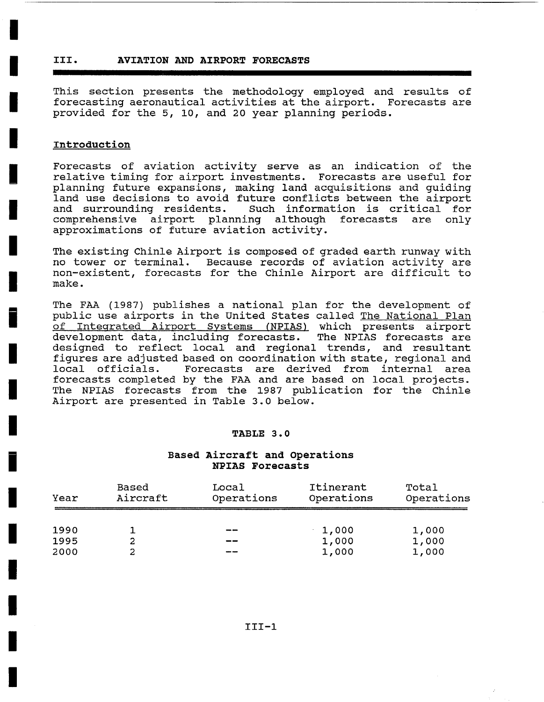# **III. AVIATION AND AIRPORT FORECASTS**

This section presents the methodology employed and results of forecasting aeronautical activities at the airport. Forecasts are provided for the 5, i0, and 20 year planning periods.

### **Introduction**

Forecasts of aviation activity serve as an indication of the relative timing for airport investments. Forecasts are useful for planning future expansions, making land acquisitions and guiding land use decisions to avoid future conflicts between the airport and surrounding residents. Such information is critical for comprehensive airport planning although forecasts are only approximations of future aviation activity.

The existing Chinle Airport is composed of graded earth runway with no tower or terminal. Because records of aviation activity are non-existent, forecasts for the Chinle Airport are difficult to make.

The FAA (1987) publishes a national plan for the development of public use airports in the United States called The National Plan of Integrated Airport Systems (NPIAS) which presents airport<br>development data, including forecasts. The NPIAS forecasts are development data, including forecasts. designed to reflect local and regional trends, and resultant figures are adjusted based on coordination with state, regional and local officials. Forecasts are derived from internal area forecasts completed by the FAA and are based on local projects. The NPIAS forecasts from the 1987 publication for the Chinle Airport are presented in Table 3.0 below.

#### **TABLE 3.0**

### **Based Aircraft and Operations NPIAS Forecasts**

| Year | Based    | Local      | Itinerant  | Total      |  |
|------|----------|------------|------------|------------|--|
|      | Aircraft | Operations | Operations | Operations |  |
| 1990 |          | --         | 1,000      | 1,000      |  |
| 1995 | 2        | --         | 1,000      | 1,000      |  |
| 2000 | 2        |            | 1,000      | 1,000      |  |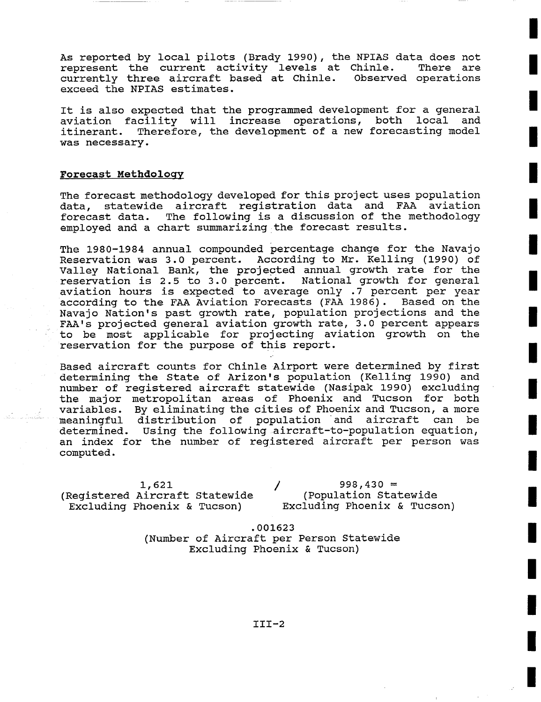As reported by local pilots (Brady 1990), the NPIAS data does not represent the current activity levels at Chinle. There are currently three aircraft based at Chinle. Observed operations exceed the NPIAS estimates.

It is also expected that the programmed development for a general aviation facility will increase operations, both local and itinerant. Therefore, the development of a new forecasting model was necessary.

## **Forecast Methdology**

The forecast methodology developed for this project uses population data, statewide aircraft registration data and FAA aviation forecast data. The following is a discussion of the methodology employed and a chart summarizing the forecast results.

The 1980-1984 annual compounded percentage change for the Navajo Reservation was 3.0 percent. According to Mr. Kelling (1990) of Valley National Bank, the projected annual growth rate for the reservation is 2.5 to 3.0 percent. National growth for general aviation hours is expected to average only .7 percent per year according to the FAA Aviation Forecasts (FAA 1986). Based on the Navajo Nation's past growth rate, population projections and the FAA's projected general aviation growth rate, 3.0 percent appears to be most applicable for projecting aviation growth on the reservation for the purpose of this report.

Based aircraft counts for Chinle Airport were determined by first determining the State of Arizon's population (Kelling 1990) and number of registered aircraft statewide (Nasipak 1990) excluding the major metropolitan areas of Phoenix and Tucson for both variables. By eliminating the cities of Phoenix and Tucson, a more meaningful distribution of population and aircraft can be determined. Using the following aircraft-to-population equation, an index for the number of registered aircraft per person was computed.

1,621 (Registered Aircraft Statewide Excluding Phoenix & Tucson)

**/ 998,430 =**  (Population Statewide Excluding Phoenix & Tucson)

.001623 (Number of Aircraft per Person Statewide Excluding Phoenix & Tucson)

III-2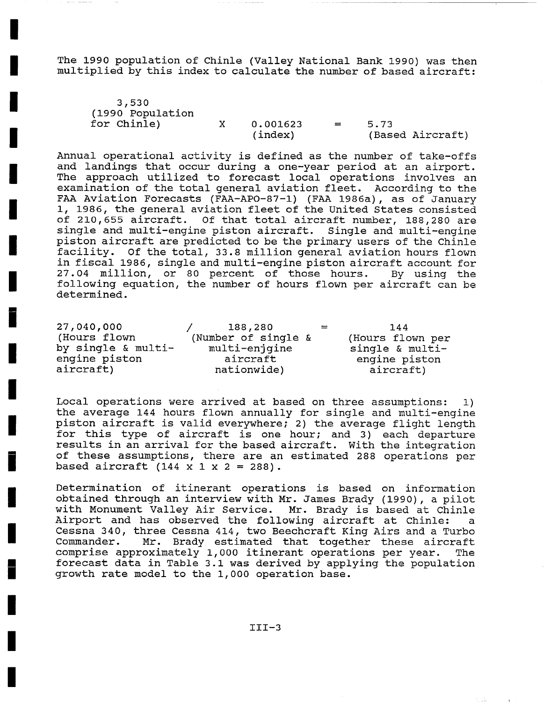The 1990 population of Chinle (Valley National Bank 1990) was then multiplied by this index to calculate the number of based aircraft:

| 3,530             |          |      |                  |
|-------------------|----------|------|------------------|
| (1990 Population) |          |      |                  |
| for Chinle)       | 0.001623 | 5.73 |                  |
|                   | (index)  |      | (Based Aircraft) |

Annual operational activity is defined as the number of take-offs and landings that occur during a one-year period at an airport. The approach utilized to forecast local operations involves an examination of the total general aviation fleet. According to the FAA Aviation Forecasts (FAA-APO-87-1) (FAA 1986a), as of January i, 1986, the general aviation fleet of the United States consisted of 210,655 aircraft. Of that total aircraft number, 188,280 are single and multi-engine piston aircraft. Single and multi-engine piston aircraft are predicted to be the primary users of the Chinle facility. Of the total, 33.8 million general aviation hours flown in fiscal 1986, single and multi-engine piston aircraft account for 27.04 million, or 80 percent of those hours. By using the following equation, the number of hours flown per aircraft can be determined.

| 27,040,000         | 188,280             | $=$ | 144              |
|--------------------|---------------------|-----|------------------|
| (Hours flown       | (Number of single & |     | (Hours flown per |
| by single & multi- | multi-enjgine       |     | single & multi-  |
| engine piston      | aircraft            |     | engine piston    |
| aircraft)          | nationwide)         |     | aircraft)        |

Local operations were arrived at based on three assumptions: i) the average 144 hours flown annually for single and multi-engine piston aircraft is valid everywhere; 2) the average flight length for this type of aircraft is one hour; and 3) each departure results in an arrival for the based aircraft. With the integration of these assumptions, there are an estimated 288 operations per based aircraft  $(144 \times 1 \times 2 = 288)$ .

Determination of itinerant operations is based on information obtained through an interview with Mr. James Brady (1990), a pilot with Monument Valley Air Service. Mr. Brady is based at Chinle Airport and has observed the following aircraft at Chinle: a Cessna 340, three Cessna 414, two Beechcraft King Airs and a Turbo Commander. Mr. Brady estimated that together these aircraft comprise approximately 1,000 itinerant operations per year. The forecast data in Table 3.1 was derived by applying the population growth rate model to the 1,000 operation base.